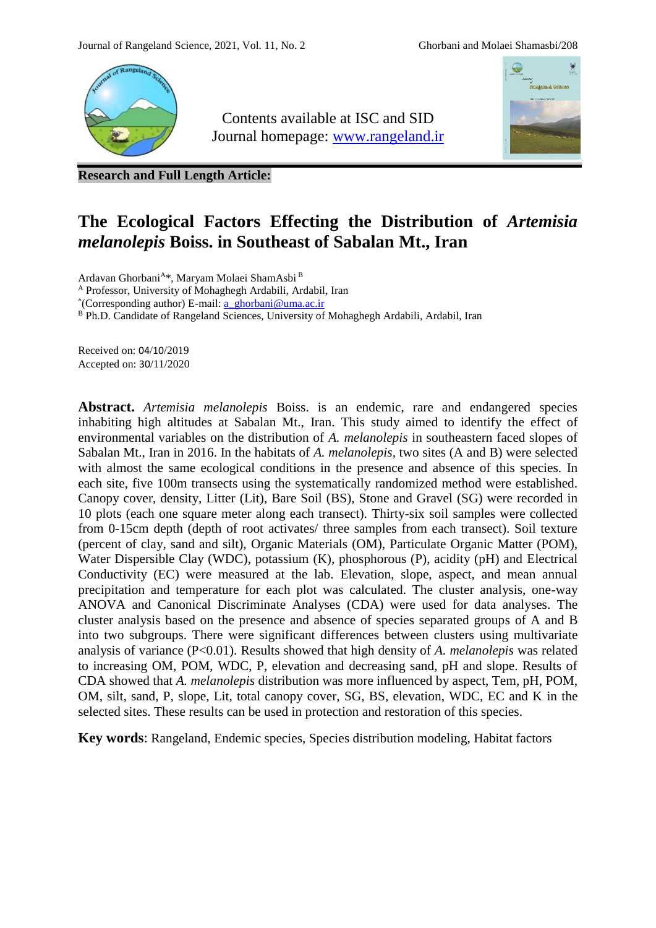

Contents available at ISC and SID Journal homepage: [www.rangeland.ir](http://www.rangeland.ir/)



**Research and Full Length Article:**

# **The Ecological Factors Effecting the Distribution of** *Artemisia melanolepis* **Boiss. in Southeast of Sabalan Mt., Iran**

Ardavan Ghorbani<sup>A\*</sup>, Maryam Molaei ShamAsbi<sup>B</sup>

<sup>A</sup> Professor, University of Mohaghegh Ardabili, Ardabil, Iran

\* (Corresponding author) E-mail: [a\\_ghorbani@uma.ac.ir](mailto:a_ghorbani@uma.ac.ir)

B Ph.D. Candidate of Rangeland Sciences, University of Mohaghegh Ardabili, Ardabil, Iran

Received on: 04/10/2019 Accepted on: 30/11/2020

**Abstract.** *Artemisia melanolepis* Boiss. is an endemic, rare and endangered species inhabiting high altitudes at Sabalan Mt., Iran. This study aimed to identify the effect of environmental variables on the distribution of *A. melanolepis* in southeastern faced slopes of Sabalan Mt., Iran in 2016. In the habitats of *A. melanolepis,* two sites (A and B) were selected with almost the same ecological conditions in the presence and absence of this species. In each site, five 100m transects using the systematically randomized method were established. Canopy cover, density, Litter (Lit), Bare Soil (BS), Stone and Gravel (SG) were recorded in 10 plots (each one square meter along each transect). Thirty-six soil samples were collected from 0-15cm depth (depth of root activates/ three samples from each transect). Soil texture (percent of clay, sand and silt), Organic Materials (OM), Particulate Organic Matter (POM), Water Dispersible Clay (WDC), potassium (K), phosphorous (P), acidity (pH) and Electrical Conductivity (EC) were measured at the lab. Elevation, slope, aspect, and mean annual precipitation and temperature for each plot was calculated. The cluster analysis, one-way ANOVA and Canonical Discriminate Analyses (CDA) were used for data analyses. The cluster analysis based on the presence and absence of species separated groups of A and B into two subgroups. There were significant differences between clusters using multivariate analysis of variance (P<0.01). Results showed that high density of *A. melanolepis* was related to increasing OM, POM, WDC, P, elevation and decreasing sand, pH and slope. Results of CDA showed that *A. melanolepis* distribution was more influenced by aspect, Tem, pH, POM, OM, silt, sand, P, slope, Lit, total canopy cover, SG, BS, elevation, WDC, EC and K in the selected sites. These results can be used in protection and restoration of this species.

**Key words**: Rangeland, Endemic species, Species distribution modeling, Habitat factors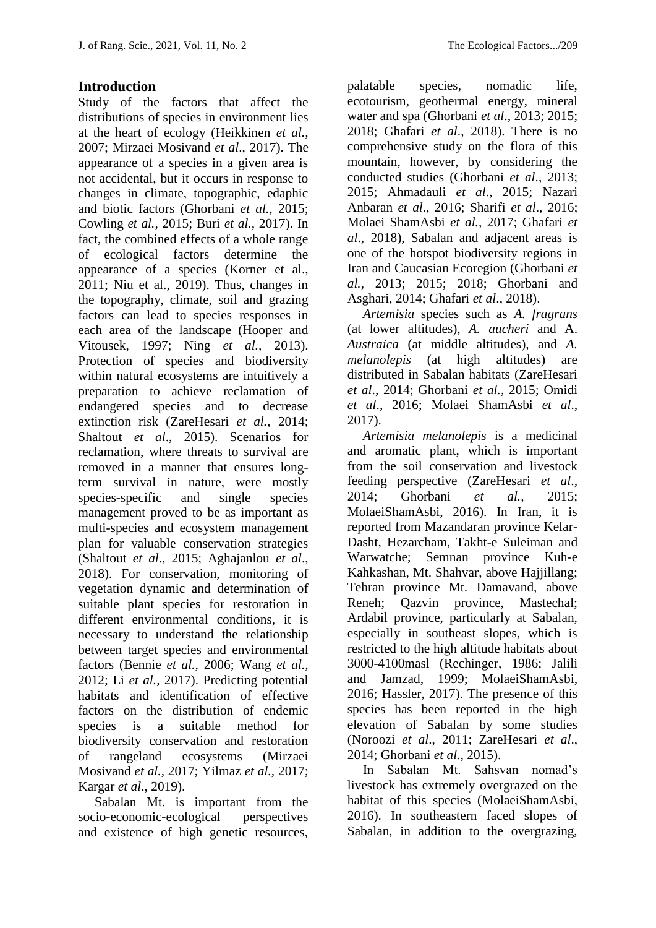### **Introduction**

Study of the factors that affect the distributions of species in environment lies at the heart of ecology (Heikkinen *et al.,* 2007; Mirzaei Mosivand *et al*., 2017). The appearance of a species in a given area is not accidental, but it occurs in response to changes in climate, topographic, edaphic and biotic factors (Ghorbani *et al.,* 2015; Cowling *et al.,* 2015; Buri *et al.,* 2017). In fact, the combined effects of a whole range of ecological factors determine the appearance of a species (Korner et al., 2011; Niu et al., 2019). Thus, changes in the topography, climate, soil and grazing factors can lead to species responses in each area of the landscape (Hooper and Vitousek, 1997; Ning *et al.,* 2013). Protection of species and biodiversity within natural ecosystems are intuitively a preparation to achieve reclamation of endangered species and to decrease extinction risk (ZareHesari *et al.*, 2014; Shaltout *et al*., 2015). Scenarios for reclamation, where threats to survival are removed in a manner that ensures longterm survival in nature, were mostly species-specific and single species management proved to be as important as multi-species and ecosystem management plan for valuable conservation strategies (Shaltout *et al*., 2015; Aghajanlou *et al*., 2018). For conservation, monitoring of vegetation dynamic and determination of suitable plant species for restoration in different environmental conditions, it is necessary to understand the relationship between target species and environmental factors (Bennie *et al.,* 2006; Wang *et al.,* 2012; Li *et al.,* 2017). Predicting potential habitats and identification of effective factors on the distribution of endemic species is a suitable method for biodiversity conservation and restoration of rangeland ecosystems (Mirzaei Mosivand *et al.,* 2017; Yilmaz *et al.,* 2017; Kargar *et al*., 2019).

 Sabalan Mt. is important from the socio-economic-ecological perspectives and existence of high genetic resources, palatable species, nomadic life, ecotourism, geothermal energy, mineral water and spa (Ghorbani *et al*., 2013; 2015; 2018; Ghafari *et al*., 2018). There is no comprehensive study on the flora of this mountain, however, by considering the conducted studies (Ghorbani *et al*., 2013; 2015; Ahmadauli *et al*., 2015; Nazari Anbaran *et al*., 2016; Sharifi *et al*., 2016; Molaei ShamAsbi *et al.,* 2017; Ghafari *et al*., 2018), Sabalan and adjacent areas is one of the hotspot biodiversity regions in Iran and Caucasian Ecoregion (Ghorbani *et al.,* 2013; 2015; 2018; Ghorbani and Asghari, 2014; Ghafari *et al*., 2018).

*Artemisia* species such as *A. fragrans* (at lower altitudes), *A. aucheri* and A. *Austraica* (at middle altitudes), and *A. melanolepis* (at high altitudes) are distributed in Sabalan habitats (ZareHesari *et al*., 2014; Ghorbani *et al.,* 2015; Omidi *et al*., 2016; Molaei ShamAsbi *et al*., 2017).

*Artemisia melanolepis* is a medicinal and aromatic plant, which is important from the soil conservation and livestock feeding perspective (ZareHesari *et al*., 2014; Ghorbani *et al.,* 2015; MolaeiShamAsbi, 2016). In Iran, it is reported from Mazandaran province Kelar-Dasht, Hezarcham, Takht-e Suleiman and Warwatche; Semnan province Kuh-e Kahkashan, Mt. Shahvar, above Hajjillang; Tehran province Mt. Damavand, above Reneh; Qazvin province, Mastechal; Ardabil province, particularly at Sabalan, especially in southeast slopes, which is restricted to the high altitude habitats about 3000-4100masl (Rechinger, 1986; Jalili and Jamzad, 1999; MolaeiShamAsbi, 2016; Hassler, 2017). The presence of this species has been reported in the high elevation of Sabalan by some studies (Noroozi *et al*., 2011; ZareHesari *et al*., 2014; Ghorbani *et al*., 2015).

In Sabalan Mt. Sahsvan nomad's livestock has extremely overgrazed on the habitat of this species (MolaeiShamAsbi, 2016). In southeastern faced slopes of Sabalan, in addition to the overgrazing,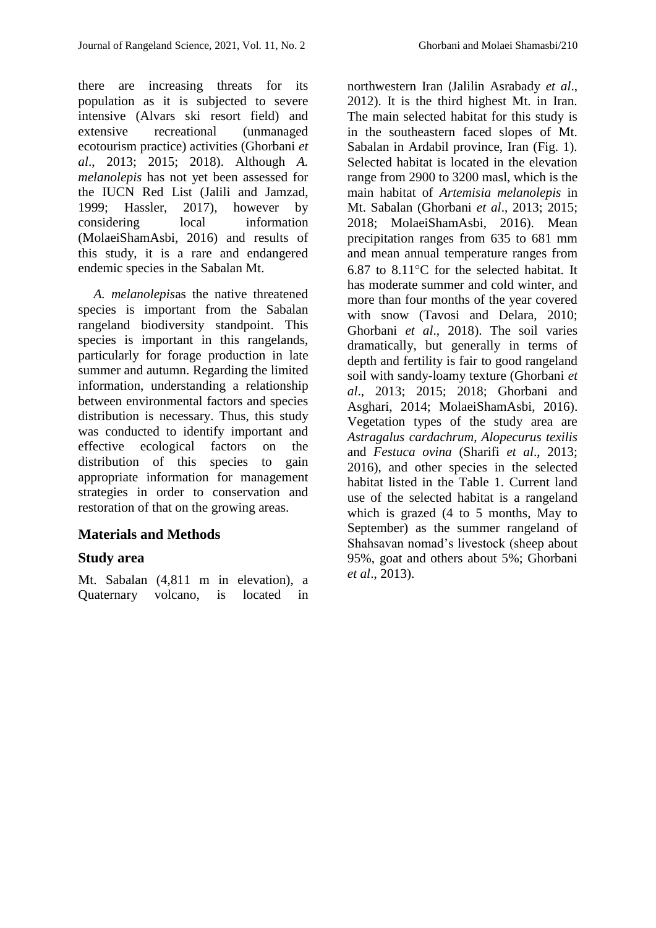there are increasing threats for its population as it is subjected to severe intensive (Alvars ski resort field) and extensive recreational (unmanaged ecotourism practice) activities (Ghorbani *et al*., 2013; 2015; 2018). Although *A. melanolepis* has not yet been assessed for the IUCN Red List (Jalili and Jamzad, 1999; Hassler, 2017), however by considering local information (MolaeiShamAsbi, 2016) and results of this study, it is a rare and endangered endemic species in the Sabalan Mt.

*A. melanolepis*as the native threatened species is important from the Sabalan rangeland biodiversity standpoint. This species is important in this rangelands, particularly for forage production in late summer and autumn. Regarding the limited information, understanding a relationship between environmental factors and species distribution is necessary. Thus, this study was conducted to identify important and effective ecological factors on the distribution of this species to gain appropriate information for management strategies in order to conservation and restoration of that on the growing areas.

## **Materials and Methods**

#### **Study area**

Mt. Sabalan (4,811 m in elevation), a Quaternary volcano, is located in

northwestern Iran (Jalilin Asrabady *et al*., 2012). It is the third highest Mt. in Iran. The main selected habitat for this study is in the southeastern faced slopes of Mt. Sabalan in Ardabil province, Iran (Fig. 1). Selected habitat is located in the elevation range from 2900 to 3200 masl, which is the main habitat of *Artemisia melanolepis* in Mt. Sabalan (Ghorbani *et al*., 2013; 2015; 2018; MolaeiShamAsbi, 2016). Mean precipitation ranges from 635 to 681 mm and mean annual temperature ranges from 6.87 to  $8.11^{\circ}$ C for the selected habitat. It has moderate summer and cold winter, and more than four months of the year covered with snow (Tavosi and Delara, 2010; Ghorbani *et al*., 2018). The soil varies dramatically, but generally in terms of depth and fertility is fair to good rangeland soil with sandy-loamy texture (Ghorbani *et al*., 2013; 2015; 2018; Ghorbani and Asghari, 2014; MolaeiShamAsbi, 2016). Vegetation types of the study area are *Astragalus cardachrum*, *Alopecurus texilis* and *Festuca ovina* (Sharifi *et al*., 2013; 2016), and other species in the selected habitat listed in the Table 1. Current land use of the selected habitat is a rangeland which is grazed (4 to 5 months, May to September) as the summer rangeland of Shahsavan nomad's livestock (sheep about 95%, goat and others about 5%; Ghorbani *et al*., 2013).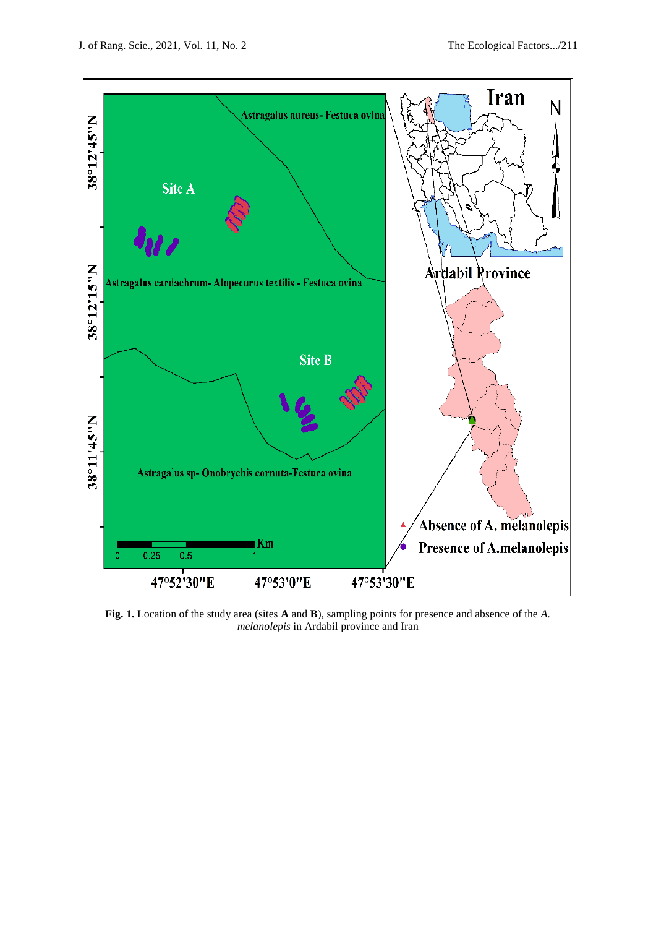

**Fig. 1.** Location of the study area (sites **A** and **B**), sampling points for presence and absence of the *A. melanolepis* in Ardabil province and Iran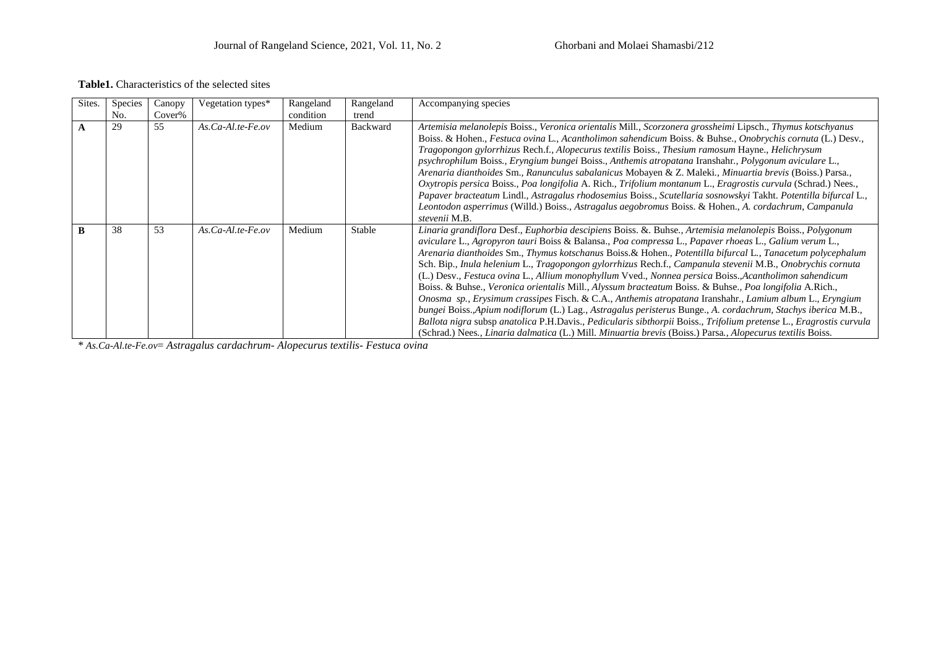#### **Table1.** Characteristics of the selected sites

| Sites. | <b>Species</b> | Canopy | Vegetation types*     | Rangeland | Rangeland       | Accompanying species                                                                                                                                                                                                                                                                                                                                                                                                                                                                                                                                                                                                                                                                                                                                                                                                                                                                                                                                                                                                                                                                                                                                      |
|--------|----------------|--------|-----------------------|-----------|-----------------|-----------------------------------------------------------------------------------------------------------------------------------------------------------------------------------------------------------------------------------------------------------------------------------------------------------------------------------------------------------------------------------------------------------------------------------------------------------------------------------------------------------------------------------------------------------------------------------------------------------------------------------------------------------------------------------------------------------------------------------------------------------------------------------------------------------------------------------------------------------------------------------------------------------------------------------------------------------------------------------------------------------------------------------------------------------------------------------------------------------------------------------------------------------|
|        | No.            | Cover% |                       | condition | trend           |                                                                                                                                                                                                                                                                                                                                                                                                                                                                                                                                                                                                                                                                                                                                                                                                                                                                                                                                                                                                                                                                                                                                                           |
| A      | 29             | 55     | $As. Ca-Al.te-Fe. ov$ | Medium    | <b>Backward</b> | Artemisia melanolepis Boiss., Veronica orientalis Mill., Scorzonera grossheimi Lipsch., Thymus kotschyanus<br>Boiss. & Hohen., Festuca ovina L., Acantholimon sahendicum Boiss. & Buhse., Onobrychis cornuta (L.) Desv.,<br>Tragopongon gylorrhizus Rech.f., Alopecurus textilis Boiss., Thesium ramosum Hayne., Helichrysum<br>psychrophilum Boiss., Eryngium bungei Boiss., Anthemis atropatana Iranshahr., Polygonum aviculare L.,<br>Arenaria dianthoides Sm., Ranunculus sabalanicus Mobayen & Z. Maleki., Minuartia brevis (Boiss.) Parsa.,<br>Oxytropis persica Boiss., Poa longifolia A. Rich., Trifolium montanum L., Eragrostis curvula (Schrad.) Nees.,<br>Papaver bracteatum Lindl., Astragalus rhodosemius Boiss., Scutellaria sosnowskyi Takht. Potentilla bifurcal L.,<br>Leontodon asperrimus (Willd.) Boiss., Astragalus aegobromus Boiss. & Hohen., A. cordachrum, Campanula<br>stevenii M.B.                                                                                                                                                                                                                                           |
| B      | 38             | 53     | $As. Ca-Al.te-Fe. ov$ | Medium    | Stable          | Linaria grandiflora Desf., Euphorbia descipiens Boiss. &. Buhse., Artemisia melanolepis Boiss., Polygonum<br>aviculare L., Agropyron tauri Boiss & Balansa., Poa compressa L., Papaver rhoeas L., Galium verum L.,<br>Arenaria dianthoides Sm., Thymus kotschanus Boiss. & Hohen., Potentilla bifurcal L., Tanacetum polycephalum<br>Sch. Bip., Inula helenium L., Tragopongon gylorrhizus Rech.f., Campanula stevenii M.B., Onobrychis cornuta<br>(L.) Desv., Festuca ovina L., Allium monophyllum Vved., Nonnea persica Boiss., Acantholimon sahendicum<br>Boiss. & Buhse., Veronica orientalis Mill., Alyssum bracteatum Boiss. & Buhse., Poa longifolia A.Rich.,<br>Onosma sp., Erysimum crassipes Fisch. & C.A., Anthemis atropatana Iranshahr., Lamium album L., Eryngium<br>bungei Boiss., Apium nodiflorum (L.) Lag., Astragalus peristerus Bunge., A. cordachrum, Stachys iberica M.B.,<br>Ballota nigra subsp anatolica P.H.Davis., Pedicularis sibthorpii Boiss., Trifolium pretense L., Eragrostis curvula<br>(Schrad.) Nees., <i>Linaria dalmatica</i> (L.) Mill. <i>Minuartia brevis</i> (Boiss.) Parsa., <i>Alopecurus textilis</i> Boiss. |

\* *As.Ca-Al.te-Fe.ov*= *Astragalus cardachrum- Alopecurus textilis- Festuca ovina*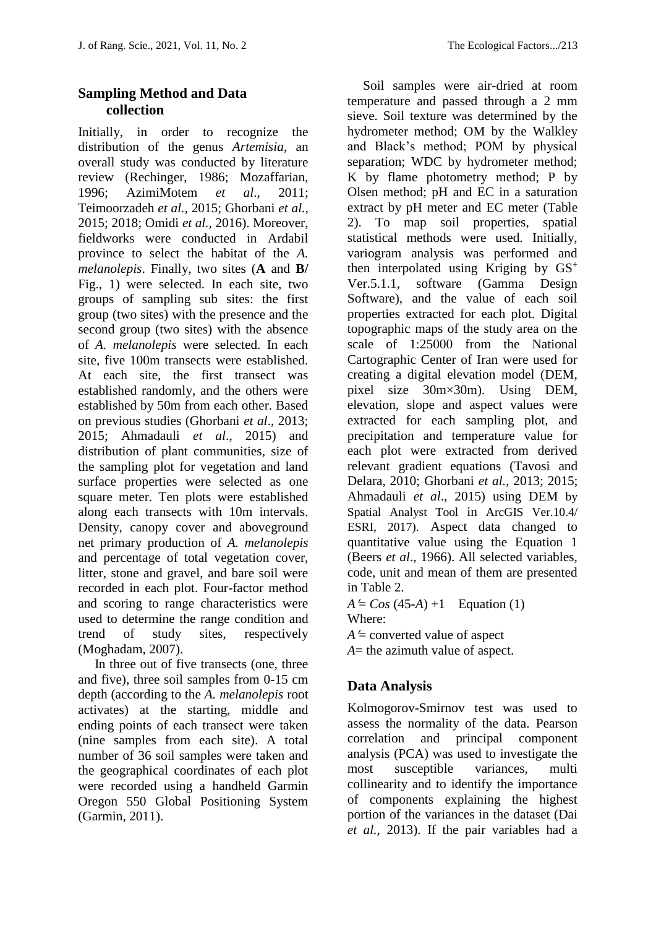## **Sampling Method and Data collection**

Initially, in order to recognize the distribution of the genus *Artemisia*, an overall study was conducted by literature review (Rechinger, 1986; Mozaffarian, 1996; AzimiMotem *et al*., 2011; Teimoorzadeh *et al.,* 2015; Ghorbani *et al.,* 2015; 2018; Omidi *et al.,* 2016). Moreover, fieldworks were conducted in Ardabil province to select the habitat of the *A. melanolepis*. Finally, two sites (**A** and **B/**  Fig., 1) were selected. In each site, two groups of sampling sub sites: the first group (two sites) with the presence and the second group (two sites) with the absence of *A. melanolepis* were selected. In each site, five 100m transects were established. At each site, the first transect was established randomly, and the others were established by 50m from each other. Based on previous studies (Ghorbani *et al*., 2013; 2015; Ahmadauli *et al*., 2015) and distribution of plant communities, size of the sampling plot for vegetation and land surface properties were selected as one square meter. Ten plots were established along each transects with 10m intervals. Density, canopy cover and aboveground net primary production of *A. melanolepis* and percentage of total vegetation cover, litter, stone and gravel, and bare soil were recorded in each plot. Four-factor method and scoring to range characteristics were used to determine the range condition and trend of study sites, respectively (Moghadam, 2007).

 In three out of five transects (one, three and five), three soil samples from 0-15 cm depth (according to the *A. melanolepis* root activates) at the starting, middle and ending points of each transect were taken (nine samples from each site). A total number of 36 soil samples were taken and the geographical coordinates of each plot were recorded using a handheld Garmin Oregon 550 Global Positioning System (Garmin, 2011).

Soil samples were air-dried at room temperature and passed through a 2 mm sieve. Soil texture was determined by the hydrometer method; OM by the Walkley and Black's method; POM by physical separation; WDC by hydrometer method; K by flame photometry method; P by Olsen method; pH and EC in a saturation extract by pH meter and EC meter (Table 2). To map soil properties, spatial statistical methods were used. Initially, variogram analysis was performed and then interpolated using Kriging by  $GS^+$ Ver.5.1.1, software (Gamma Design Software), and the value of each soil properties extracted for each plot. Digital topographic maps of the study area on the scale of 1:25000 from the National Cartographic Center of Iran were used for creating a digital elevation model (DEM, pixel size 30m×30m). Using DEM, elevation, slope and aspect values were extracted for each sampling plot, and precipitation and temperature value for each plot were extracted from derived relevant gradient equations (Tavosi and Delara, 2010; Ghorbani *et al.*, 2013; 2015; Ahmadauli *et al*., 2015) using DEM by Spatial Analyst Tool in ArcGIS Ver.10.4/ ESRI, 2017). Aspect data changed to quantitative value using the Equation 1 (Beers *et al*., 1966). All selected variables, code, unit and mean of them are presented in Table 2.

 $A \leq Cos (45-A) +1$  Equation (1) Where:

 $A \cong$  converted value of aspect

*A*= the azimuth value of aspect.

# **Data Analysis**

Kolmogorov-Smirnov test was used to assess the normality of the data. Pearson correlation and principal component analysis (PCA) was used to investigate the most susceptible variances, multi collinearity and to identify the importance of components explaining the highest portion of the variances in the dataset (Dai *et al.,* 2013). If the pair variables had a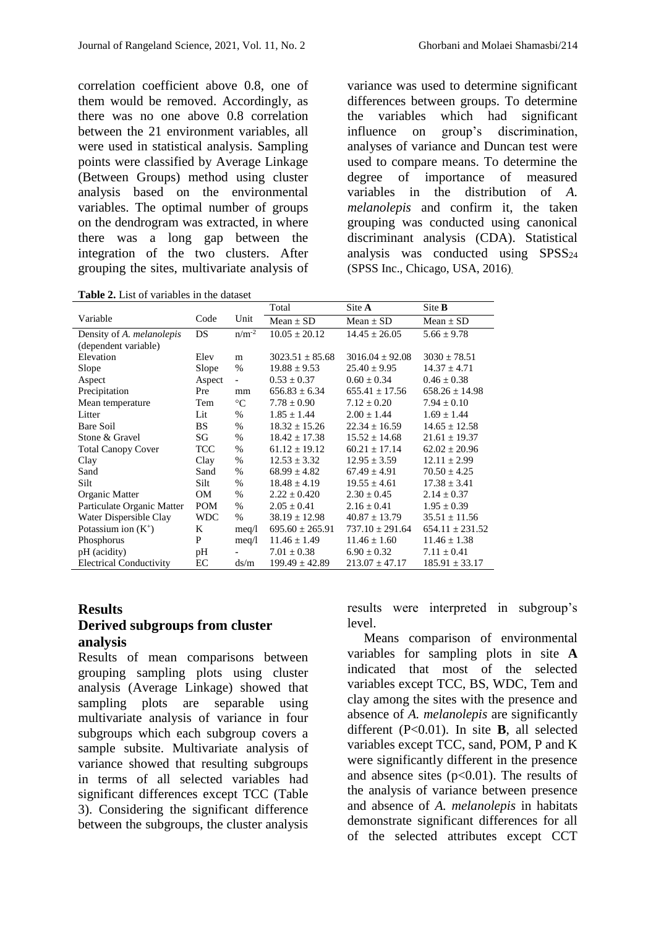correlation coefficient above 0.8, one of them would be removed. Accordingly, as there was no one above 0.8 correlation between the 21 environment variables, all were used in statistical analysis. Sampling points were classified by Average Linkage (Between Groups) method using cluster analysis based on the environmental variables. The optimal number of groups on the dendrogram was extracted, in where there was a long gap between the integration of the two clusters. After grouping the sites, multivariate analysis of

**Table 2.** List of variables in the dataset

variance was used to determine significant differences between groups. To determine the variables which had significant influence on group's discrimination, analyses of variance and Duncan test were used to compare means. To determine the degree of importance of measured variables in the distribution of *A. melanolepis* and confirm it, the taken grouping was conducted using canonical discriminant analysis (CDA). Statistical analysis was conducted using  $SPSS_{24}$ (SPSS Inc., Chicago, USA, 2016).

|                                |             |                          | Total               | Site A              | Site <b>B</b>       |
|--------------------------------|-------------|--------------------------|---------------------|---------------------|---------------------|
| Variable                       | Code        | Unit                     | $Mean + SD$         | $Mean + SD$         | $Mean + SD$         |
| Density of A. melanolepis      | DS          | $n/m^{-2}$               | $10.05 \pm 20.12$   | $14.45 \pm 26.05$   | $5.66 \pm 9.78$     |
| (dependent variable)           |             |                          |                     |                     |                     |
| Elevation                      | Elev        | m                        | $3023.51 + 85.68$   | $3016.04 + 92.08$   | $3030 \pm 78.51$    |
| Slope                          | Slope       | $\%$                     | $19.88 \pm 9.53$    | $25.40 \pm 9.95$    | $14.37 \pm 4.71$    |
| Aspect                         | Aspect      | $\overline{\phantom{a}}$ | $0.53 \pm 0.37$     | $0.60 + 0.34$       | $0.46 \pm 0.38$     |
| Precipitation                  | Pre         | mm                       | $656.83 \pm 6.34$   | $655.41 \pm 17.56$  | $658.26 \pm 14.98$  |
| Mean temperature               | Tem         | $\rm ^{\circ}C$          | $7.78 \pm 0.90$     | $7.12 \pm 0.20$     | $7.94 \pm 0.10$     |
| Litter                         | Lit         | $\%$                     | $1.85 + 1.44$       | $2.00 + 1.44$       | $1.69 + 1.44$       |
| Bare Soil                      | <b>BS</b>   | $\%$                     | $18.32 \pm 15.26$   | $22.34 + 16.59$     | $14.65 \pm 12.58$   |
| Stone & Gravel                 | SG          | $\%$                     | $18.42 \pm 17.38$   | $15.52 \pm 14.68$   | $21.61 \pm 19.37$   |
| <b>Total Canopy Cover</b>      | <b>TCC</b>  | $\%$                     | $61.12 \pm 19.12$   | $60.21 \pm 17.14$   | $62.02 \pm 20.96$   |
| Clay                           | Clay        | $\%$                     | $12.53 \pm 3.32$    | $12.95 \pm 3.59$    | $12.11 \pm 2.99$    |
| Sand                           | Sand        | $\%$                     | $68.99 \pm 4.82$    | $67.49 \pm 4.91$    | $70.50 \pm 4.25$    |
| Silt                           | <b>Silt</b> | $\%$                     | $18.48 \pm 4.19$    | $19.55 \pm 4.61$    | $17.38 \pm 3.41$    |
| Organic Matter                 | <b>OM</b>   | $\%$                     | $2.22 + 0.420$      | $2.30 + 0.45$       | $2.14 + 0.37$       |
| Particulate Organic Matter     | <b>POM</b>  | $\%$                     | $2.05 + 0.41$       | $2.16 + 0.41$       | $1.95 \pm 0.39$     |
| Water Dispersible Clay         | <b>WDC</b>  | $\%$                     | $38.19 \pm 12.98$   | $40.87 \pm 13.79$   | $35.51 \pm 11.56$   |
| Potassium ion $(K^+)$          | K           | meq/1                    | $695.60 \pm 265.91$ | $737.10 \pm 291.64$ | $654.11 \pm 231.52$ |
| Phosphorus                     | P           | meq/1                    | $11.46 \pm 1.49$    | $11.46 \pm 1.60$    | $11.46 \pm 1.38$    |
| pH (acidity)                   | pH          |                          | $7.01 \pm 0.38$     | $6.90 \pm 0.32$     | $7.11 \pm 0.41$     |
| <b>Electrical Conductivity</b> | EC          | ds/m                     | $199.49 \pm 42.89$  | $213.07 \pm 47.17$  | $185.91 \pm 33.17$  |

#### **Results Derived subgroups from cluster analysis**

Results of mean comparisons between grouping sampling plots using cluster analysis (Average Linkage) showed that sampling plots are separable using multivariate analysis of variance in four subgroups which each subgroup covers a sample subsite. Multivariate analysis of variance showed that resulting subgroups in terms of all selected variables had significant differences except TCC (Table 3). Considering the significant difference between the subgroups, the cluster analysis results were interpreted in subgroup's level.

 Means comparison of environmental variables for sampling plots in site **A** indicated that most of the selected variables except TCC, BS, WDC, Tem and clay among the sites with the presence and absence of *A. melanolepis* are significantly different (P<0.01). In site **B**, all selected variables except TCC, sand, POM, P and K were significantly different in the presence and absence sites  $(p<0.01)$ . The results of the analysis of variance between presence and absence of *A. melanolepis* in habitats demonstrate significant differences for all of the selected attributes except CCT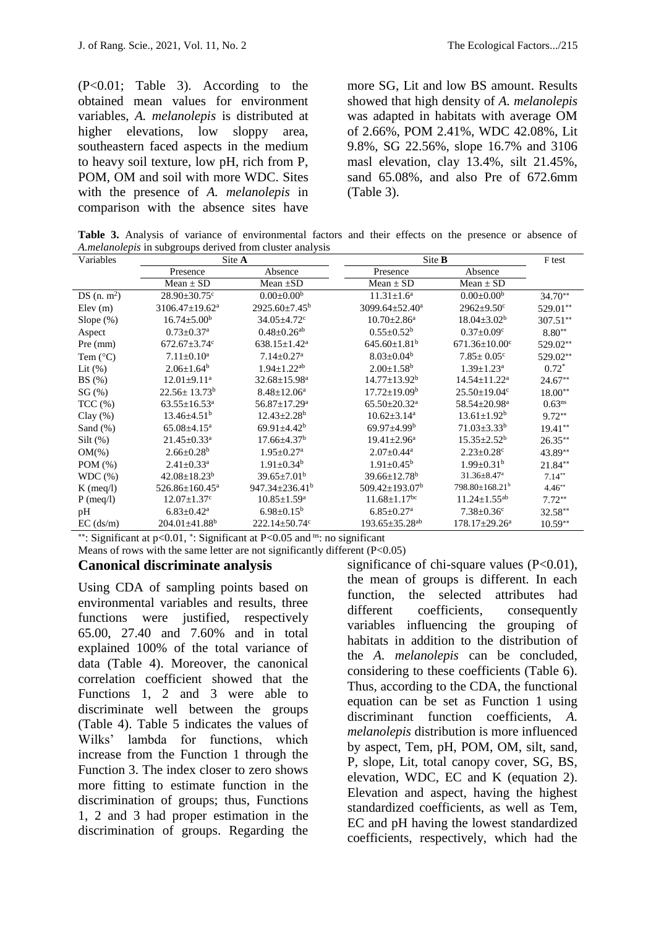(P<0.01; Table 3). According to the obtained mean values for environment variables, *A. melanolepis* is distributed at higher elevations, low sloppy area, southeastern faced aspects in the medium to heavy soil texture, low pH, rich from P, POM, OM and soil with more WDC. Sites with the presence of *A. melanolepis* in comparison with the absence sites have

more SG, Lit and low BS amount. Results showed that high density of *A. melanolepis* was adapted in habitats with average OM of 2.66%, POM 2.41%, WDC 42.08%, Lit 9.8%, SG 22.56%, slope 16.7% and 3106 masl elevation, clay 13.4%, silt 21.45%, sand 65.08%, and also Pre of 672.6mm (Table 3).

**Table 3.** Analysis of variance of environmental factors and their effects on the presence or absence of *A.melanolepis* in subgroups derived from cluster analysis

| Variables         | Site A                          |                                |                                  | Site <b>B</b>                   |                    |  |
|-------------------|---------------------------------|--------------------------------|----------------------------------|---------------------------------|--------------------|--|
|                   | Presence                        | Absence                        | Presence                         | Absence                         |                    |  |
|                   | Mean $\pm$ SD                   | Mean $\pm SD$                  | Mean $\pm$ SD                    | Mean $\pm$ SD                   |                    |  |
| DS $(n, m^2)$     | $28.90 \pm 30.75$ °             | $0.00 \pm 0.00^b$              | $11.31 \pm 1.6^a$                | $0.00 \pm 0.00^b$               | $34.70**$          |  |
| Elev(m)           | $3106.47 \pm 19.62^a$           | $2925.60 \pm 7.45^b$           | 3099.64 $\pm$ 52.40 <sup>a</sup> | $2962 \pm 9.50$ <sup>c</sup>    | 529.01**           |  |
| Slope $(\%)$      | $16.74 \pm 5.00^{\rm b}$        | $34.05 \pm 4.72$ <sup>c</sup>  | $10.70 \pm 2.86^{\text{a}}$      | $18.04 \pm 3.02^b$              | $307.51**$         |  |
| Aspect            | $0.73 \pm 0.37$ <sup>a</sup>    | $0.48 \pm 0.26$ <sup>ab</sup>  | $0.55 \pm 0.52^b$                | $0.37 \pm 0.09$ <sup>c</sup>    | $8.80**$           |  |
| Pre (mm)          | $672.67 \pm 3.74$ °             | $638.15 \pm 1.42^a$            | $645.60 \pm 1.81^b$              | $671.36 \pm 10.00$ <sup>c</sup> | 529.02**           |  |
| Tem $(^{\circ}C)$ | $7.11 \pm 0.10^a$               | $7.14 + 0.27$ <sup>a</sup>     | $8.03 \pm 0.04^b$                | $7.85 \pm 0.05$ <sup>c</sup>    | 529.02**           |  |
| Lit $(\%)$        | $2.06 \pm 1.64^b$               | $1.94 + 1.22$ <sup>ab</sup>    | $2.00 \pm 1.58^b$                | $1.39 + 1.23^a$                 | $0.72^*$           |  |
| BS(%)             | $12.01 \pm 9.11^a$              | $32.68 \pm 15.98^a$            | $14.77 \pm 13.92^b$              | $14.54 \pm 11.22^a$             | $24.67**$          |  |
| $SG(\%)$          | $22.56 \pm 13.73^b$             | $8.48 + 12.06^a$               | $17.72 + 19.09^{\circ}$          | $25.50 \pm 19.04$ °             | $18.00**$          |  |
| $TCC$ $(\%)$      | $63.55 \pm 16.53$ <sup>a</sup>  | $56.87 \pm 17.29$ <sup>a</sup> | $65.50 \pm 20.32$ <sup>a</sup>   | 58.54±20.98 <sup>a</sup>        | 0.63 <sup>ns</sup> |  |
| Clay $(\%)$       | $13.46 \pm 4.51^b$              | $12.43 \pm 2.28$ <sup>b</sup>  | $10.62 \pm 3.14^a$               | $13.61 \pm 1.92^b$              | $9.72**$           |  |
| Sand $(\%)$       | $65.08 \pm 4.15^{\mathrm{a}}$   | $69.91 \pm 4.42$ <sup>b</sup>  | $69.97 + 4.99b$                  | $71.03 + 3.33^{b}$              | $19.41**$          |  |
| $Silt$ (%)        | $21.45 \pm 0.33$ <sup>a</sup>   | $17.66 \pm 4.37$ <sup>b</sup>  | $19.41 \pm 2.96^a$               | $15.35 \pm 2.52^b$              | $26.35**$          |  |
| $OM(\%)$          | $2.66 \pm 0.28^b$               | $1.95 \pm 0.27$ <sup>a</sup>   | $2.07+0.44^a$                    | $2.23 + 0.28$ c                 | 43.89**            |  |
| POM $(\%)$        | $2.41 \pm 0.33$ <sup>a</sup>    | $1.91 \pm 0.34^b$              | $1.91 \pm 0.45^{\rm b}$          | $1.99 \pm 0.31^b$               | 21.84**            |  |
| WDC(%)            | $42.08 \pm 18.23^b$             | $39.65 \pm 7.01^{\rm b}$       | $39.66 + 12.78$ <sup>b</sup>     | $31.36 \pm 8.47$ <sup>a</sup>   | $7.14**$           |  |
| $K$ (meq/l)       | 526.86±160.45 <sup>a</sup>      | $947.34 + 236.41^b$            | $509.42 \pm 193.07^b$            | $798.80 \pm 168.21^b$           | $4.46**$           |  |
| $P$ (meq/l)       | $12.07 \pm 1.37$ °              | $10.85 \pm 1.59^{\mathrm{a}}$  | $11.68 \pm 1.17$ <sup>bc</sup>   | $11.24 \pm 1.55^{ab}$           | $7.72**$           |  |
| pH                | $6.83 \pm 0.42^a$               | $6.98 \pm 0.15^b$              | $6.85 \pm 0.27$ <sup>a</sup>     | $7.38 \pm 0.36$ <sup>c</sup>    | 32.58**            |  |
| $EC$ (ds/m)       | $204.01 \pm 41.88$ <sup>b</sup> | 222.14 $\pm$ 50.74 $\degree$   | $193.65 \pm 35.28$ <sup>ab</sup> | $178.17 \pm 29.26^a$            | $10.59**$          |  |

\*\*: Significant at  $p<0.01$ , \*: Significant at P<0.05 and  $n_s$ : no significant

Means of rows with the same letter are not significantly different (P<0.05)

#### **Canonical discriminate analysis**

Using CDA of sampling points based on environmental variables and results, three functions were justified, respectively 65.00, 27.40 and 7.60% and in total explained 100% of the total variance of data (Table 4). Moreover, the canonical correlation coefficient showed that the Functions 1, 2 and 3 were able to discriminate well between the groups (Table 4). Table 5 indicates the values of Wilks' lambda for functions, which increase from the Function 1 through the Function 3. The index closer to zero shows more fitting to estimate function in the discrimination of groups; thus, Functions 1, 2 and 3 had proper estimation in the discrimination of groups. Regarding the significance of chi-square values  $(P<0.01)$ , the mean of groups is different. In each function, the selected attributes had different coefficients, consequently variables influencing the grouping of habitats in addition to the distribution of the *A. melanolepis* can be concluded, considering to these coefficients (Table 6). Thus, according to the CDA, the functional equation can be set as Function 1 using discriminant function coefficients, *A. melanolepis* distribution is more influenced by aspect, Tem, pH, POM, OM, silt, sand, P, slope, Lit, total canopy cover, SG, BS, elevation, WDC, EC and K (equation 2). Elevation and aspect, having the highest standardized coefficients, as well as Tem, EC and pH having the lowest standardized coefficients, respectively, which had the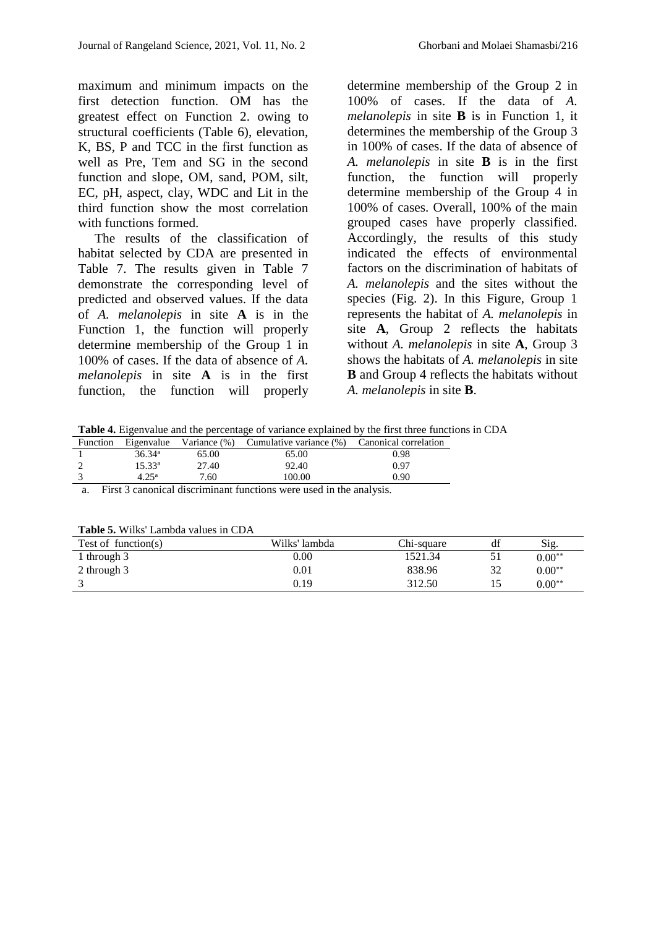maximum and minimum impacts on the first detection function. OM has the greatest effect on Function 2. owing to structural coefficients (Table 6), elevation, K, BS, P and TCC in the first function as well as Pre, Tem and SG in the second function and slope, OM, sand, POM, silt, EC, pH, aspect, clay, WDC and Lit in the third function show the most correlation with functions formed.

 The results of the classification of habitat selected by CDA are presented in Table 7. The results given in Table 7 demonstrate the corresponding level of predicted and observed values. If the data of *A. melanolepis* in site **A** is in the Function 1, the function will properly determine membership of the Group 1 in 100% of cases. If the data of absence of *A. melanolepis* in site **A** is in the first function, the function will properly

determine membership of the Group 2 in 100% of cases. If the data of *A. melanolepis* in site **B** is in Function 1, it determines the membership of the Group 3 in 100% of cases. If the data of absence of *A. melanolepis* in site **B** is in the first function, the function will properly determine membership of the Group 4 in 100% of cases. Overall, 100% of the main grouped cases have properly classified. Accordingly, the results of this study indicated the effects of environmental factors on the discrimination of habitats of *A. melanolepis* and the sites without the species (Fig. 2). In this Figure, Group 1 represents the habitat of *A. melanolepis* in site **A**, Group 2 reflects the habitats without *A. melanolepis* in site **A**, Group 3 shows the habitats of *A. melanolepis* in site **B** and Group 4 reflects the habitats without *A. melanolepis* in site **B**.

**Table 4.** Eigenvalue and the percentage of variance explained by the first three functions in CDA

| Function |                    |       | Eigenvalue Variance (%) Cumulative variance (%) Canonical correlation |      |  |
|----------|--------------------|-------|-----------------------------------------------------------------------|------|--|
|          | 36.34 <sup>a</sup> | 65.00 | 65.00                                                                 | 0.98 |  |
|          | 15.33 <sup>a</sup> | 27.40 | 92.40                                                                 | 0.97 |  |
|          | $4.25^{\rm a}$     | 7.60  | 100.00                                                                | 0.90 |  |

a. First 3 canonical discriminant functions were used in the analysis.

| <b>Table 5.</b> WHAS Lattibua values in CDA |               |            |    |          |  |  |  |  |
|---------------------------------------------|---------------|------------|----|----------|--|--|--|--|
| Test of function(s)                         | Wilks' lambda | Chi-square | df | Sig.     |  |  |  |  |
| 1 through 3                                 | $0.00\,$      | 1521.34    |    | $0.00**$ |  |  |  |  |
| 2 through 3                                 | $\rm 0.01$    | 838.96     | 32 | $0.00**$ |  |  |  |  |
|                                             | 0.19          | 312.50     |    | $0.00**$ |  |  |  |  |

**Table 5.** Wilks' Lambda values in CDA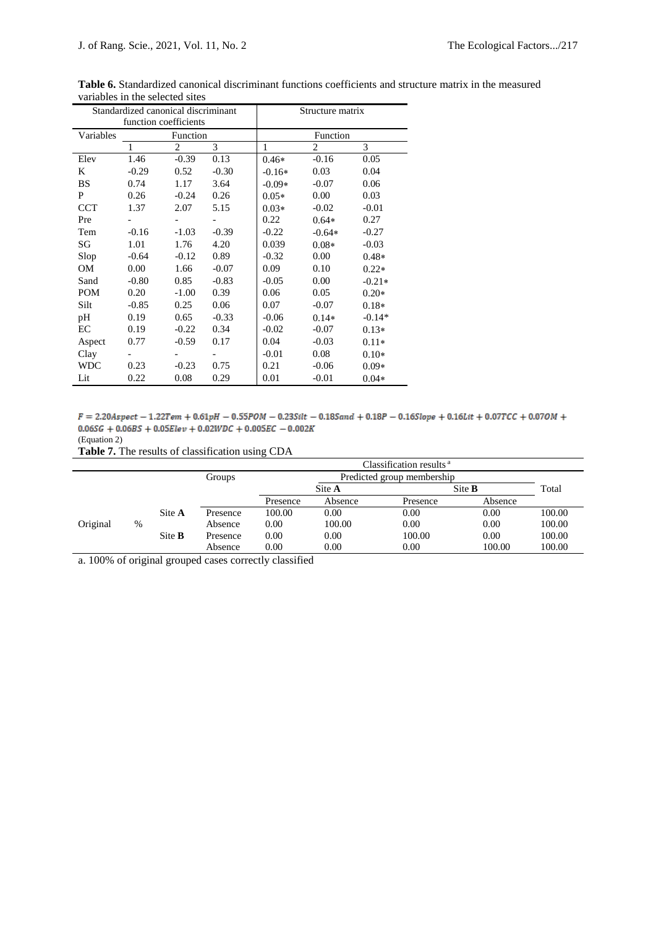|            | Standardized canonical discriminant |                | Structure matrix |          |                |          |  |  |
|------------|-------------------------------------|----------------|------------------|----------|----------------|----------|--|--|
|            | function coefficients               |                |                  |          |                |          |  |  |
| Variables  |                                     | Function       |                  |          | Function       |          |  |  |
|            | 1                                   | $\overline{c}$ | 3                | 1        | $\overline{c}$ | 3        |  |  |
| Elev       | 1.46                                | $-0.39$        | 0.13             | $0.46*$  | $-0.16$        | 0.05     |  |  |
| K          | $-0.29$                             | 0.52           | $-0.30$          | $-0.16*$ | 0.03           | 0.04     |  |  |
| <b>BS</b>  | 0.74                                | 1.17           | 3.64             | $-0.09*$ | $-0.07$        | 0.06     |  |  |
| P          | 0.26                                | $-0.24$        | 0.26             | $0.05*$  | 0.00           | 0.03     |  |  |
| <b>CCT</b> | 1.37                                | 2.07           | 5.15             | $0.03*$  | $-0.02$        | $-0.01$  |  |  |
| Pre        |                                     |                |                  | 0.22     | $0.64*$        | 0.27     |  |  |
| Tem        | $-0.16$                             | $-1.03$        | $-0.39$          | $-0.22$  | $-0.64*$       | $-0.27$  |  |  |
| SG         | 1.01                                | 1.76           | 4.20             | 0.039    | $0.08*$        | $-0.03$  |  |  |
| Slop       | $-0.64$                             | $-0.12$        | 0.89             | $-0.32$  | 0.00           | $0.48*$  |  |  |
| OM         | 0.00                                | 1.66           | $-0.07$          | 0.09     | 0.10           | $0.22*$  |  |  |
| Sand       | $-0.80$                             | 0.85           | $-0.83$          | $-0.05$  | 0.00           | $-0.21*$ |  |  |
| <b>POM</b> | 0.20                                | $-1.00$        | 0.39             | 0.06     | 0.05           | $0.20*$  |  |  |
| Silt       | $-0.85$                             | 0.25           | 0.06             | 0.07     | $-0.07$        | $0.18*$  |  |  |
| pH         | 0.19                                | 0.65           | $-0.33$          | $-0.06$  | $0.14*$        | $-0.14*$ |  |  |
| EC         | 0.19                                | $-0.22$        | 0.34             | $-0.02$  | $-0.07$        | $0.13*$  |  |  |
| Aspect     | 0.77                                | $-0.59$        | 0.17             | 0.04     | $-0.03$        | $0.11*$  |  |  |
| Clay       |                                     |                |                  | $-0.01$  | 0.08           | $0.10*$  |  |  |
| <b>WDC</b> | 0.23                                | $-0.23$        | 0.75             | 0.21     | $-0.06$        | $0.09*$  |  |  |
| Lit        | 0.22                                | 0.08           | 0.29             | 0.01     | $-0.01$        | $0.04*$  |  |  |

**Table 6.** Standardized canonical discriminant functions coefficients and structure matrix in the measured variables in the selected sites  $\overline{a}$ 

 $F = 2.20A$ spect - 1.22Tem + 0.61pH - 0.55POM - 0.23Silt - 0.18Sand + 0.18P - 0.16Slope + 0.16Lit + 0.07TCC + 0.07OM +  $0.06SG + 0.06BS + 0.05Elev + 0.02WDC + 0.005EC - 0.002K$ (Equation 2)

**Table 7.** The results of classification using CDA

|          |   |               | Classification results <sup>a</sup> |          |                            |          |         |        |
|----------|---|---------------|-------------------------------------|----------|----------------------------|----------|---------|--------|
|          |   |               | Groups                              |          | Predicted group membership |          |         |        |
|          |   |               |                                     |          | Site <b>B</b><br>Site A    |          |         | Total  |
|          |   |               |                                     | Presence | Absence                    | Presence | Absence |        |
|          |   | Site A        | Presence                            | 100.00   | 0.00                       | 0.00     | 0.00    | 100.00 |
| Original | % |               | Absence                             | 0.00     | 100.00                     | 0.00     | 0.00    | 100.00 |
|          |   | Site <b>B</b> | Presence                            | 0.00     | 0.00                       | 100.00   | 0.00    | 100.00 |
|          |   |               | Absence                             | 0.00     | 0.00                       | 0.00     | 100.00  | 100.00 |

a. 100% of original grouped cases correctly classified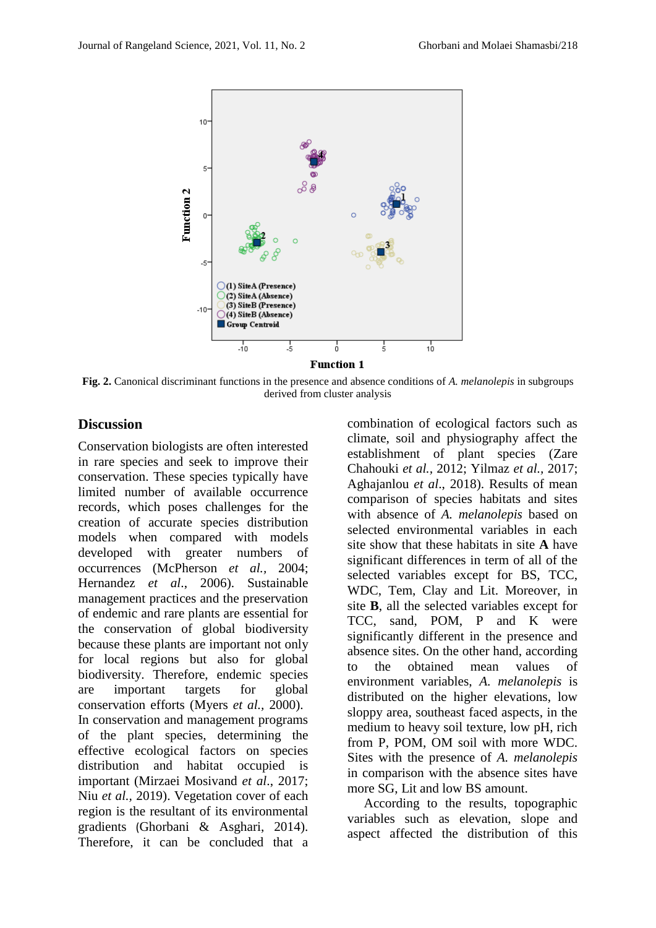

**Fig. 2.** Canonical discriminant functions in the presence and absence conditions of *A. melanolepis* in subgroups derived from cluster analysis

#### **Discussion**

Conservation biologists are often interested in rare species and seek to improve their conservation. These species typically have limited number of available occurrence records, which poses challenges for the creation of accurate species distribution models when compared with models developed with greater numbers of occurrences (McPherson *et al.,* 2004; Hernandez *et al*., 2006). Sustainable management practices and the preservation of endemic and rare plants are essential for the conservation of global biodiversity because these plants are important not only for local regions but also for global biodiversity. Therefore, endemic species are important targets for global conservation efforts (Myers *et al.,* 2000). In conservation and management programs of the plant species, determining the effective ecological factors on species distribution and habitat occupied is important (Mirzaei Mosivand *et al*., 2017; Niu *et al.,* 2019). Vegetation cover of each region is the resultant of its environmental gradients (Ghorbani & Asghari, 2014). Therefore, it can be concluded that a combination of ecological factors such as climate, soil and physiography affect the establishment of plant species (Zare Chahouki *et al.,* 2012; Yilmaz *et al.,* 2017; Aghajanlou *et al*., 2018). Results of mean comparison of species habitats and sites with absence of *A. melanolepis* based on selected environmental variables in each site show that these habitats in site **A** have significant differences in term of all of the selected variables except for BS, TCC, WDC, Tem, Clay and Lit. Moreover, in site **B**, all the selected variables except for TCC, sand, POM, P and K were significantly different in the presence and absence sites. On the other hand, according to the obtained mean values of environment variables, *A. melanolepis* is distributed on the higher elevations, low sloppy area, southeast faced aspects, in the medium to heavy soil texture, low pH, rich from P, POM, OM soil with more WDC. Sites with the presence of *A. melanolepis* in comparison with the absence sites have more SG, Lit and low BS amount.

 According to the results, topographic variables such as elevation, slope and aspect affected the distribution of this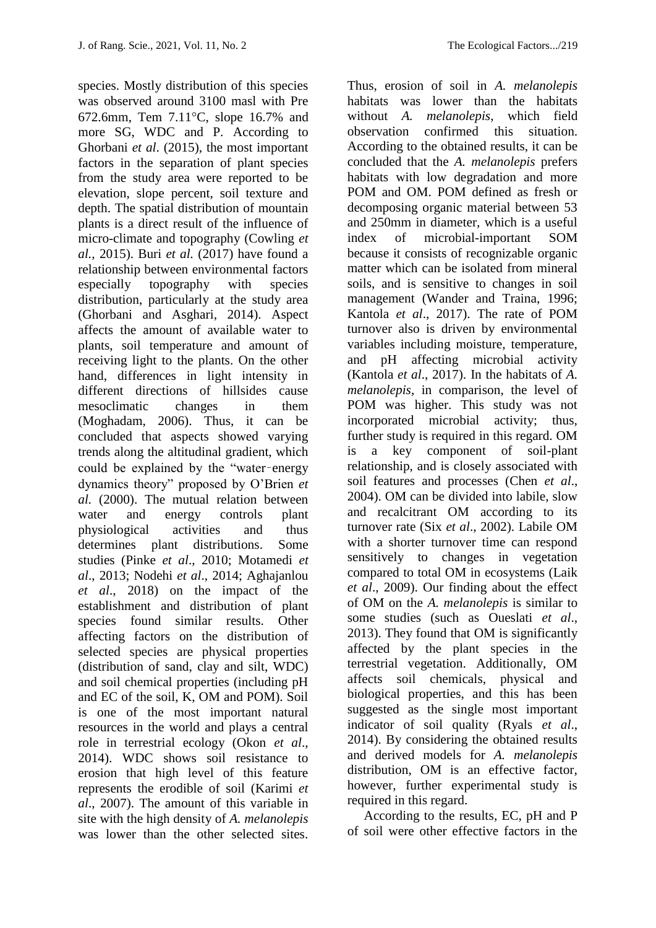species. Mostly distribution of this species was observed around 3100 masl with Pre 672.6mm, Tem  $7.11^{\circ}$ C, slope 16.7% and more SG, WDC and P. According to Ghorbani *et al*. (2015), the most important factors in the separation of plant species from the study area were reported to be elevation, slope percent, soil texture and depth. The spatial distribution of mountain plants is a direct result of the influence of micro-climate and topography (Cowling *et al.,* 2015). Buri *et al.* (2017) have found a relationship between environmental factors especially topography with species distribution, particularly at the study area (Ghorbani and Asghari, 2014). Aspect affects the amount of available water to plants, soil temperature and amount of receiving light to the plants. On the other hand, differences in light intensity in different directions of hillsides cause mesoclimatic changes in them (Moghadam, 2006). Thus, it can be concluded that aspects showed varying trends along the altitudinal gradient, which could be explained by the "water–energy dynamics theory" proposed by O'Brien *et al.* (2000). The mutual relation between water and energy controls plant physiological activities and thus determines plant distributions. Some studies (Pinke *et al*., 2010; Motamedi *et al*., 2013; Nodehi *et al*., 2014; Aghajanlou *et al*., 2018) on the impact of the establishment and distribution of plant species found similar results. Other affecting factors on the distribution of selected species are physical properties (distribution of sand, clay and silt, WDC) and soil chemical properties (including pH and EC of the soil, K, OM and POM). Soil is one of the most important natural resources in the world and plays a central role in terrestrial ecology (Okon *et al*., 2014). WDC shows soil resistance to erosion that high level of this feature represents the erodible of soil (Karimi *et al*., 2007). The amount of this variable in site with the high density of *A. melanolepis*  was lower than the other selected sites.

Thus, erosion of soil in *A. melanolepis* habitats was lower than the habitats without *A. melanolepis*, which field observation confirmed this situation. According to the obtained results, it can be concluded that the *A. melanolepis* prefers habitats with low degradation and more POM and OM. POM defined as fresh or decomposing organic material between 53 and 250mm in diameter, which is a useful index of microbial-important SOM because it consists of recognizable organic matter which can be isolated from mineral soils, and is sensitive to changes in soil management (Wander and Traina, 1996; Kantola *et al*., 2017). The rate of POM turnover also is driven by environmental variables including moisture, temperature, and pH affecting microbial activity (Kantola *et al*., 2017). In the habitats of *A. melanolepis*, in comparison, the level of POM was higher. This study was not incorporated microbial activity; thus, further study is required in this regard. OM is a key component of soil-plant relationship, and is closely associated with soil features and processes (Chen *et al*., 2004). OM can be divided into labile, slow and recalcitrant OM according to its turnover rate (Six *et al*., 2002). Labile OM with a shorter turnover time can respond sensitively to changes in vegetation compared to total OM in ecosystems (Laik *et al*., 2009). Our finding about the effect of OM on the *A. melanolepis* is similar to some studies (such as Oueslati *et al*., 2013). They found that OM is significantly affected by the plant species in the terrestrial vegetation. Additionally, OM affects soil chemicals, physical and biological properties, and this has been suggested as the single most important indicator of soil quality (Ryals *et al*., 2014). By considering the obtained results and derived models for *A. melanolepis*  distribution, OM is an effective factor, however, further experimental study is required in this regard.

 According to the results, EC, pH and P of soil were other effective factors in the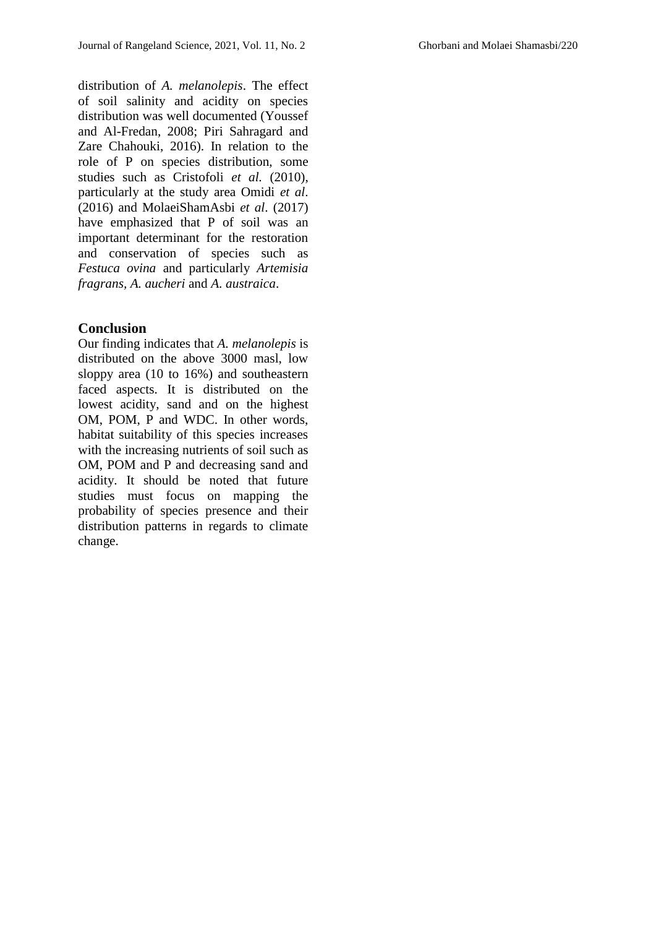distribution of *A. melanolepis*. The effect of soil salinity and acidity on species distribution was well documented (Youssef and Al-Fredan, 2008; Piri Sahragard and Zare Chahouki, 2016). In relation to the role of P on species distribution, some studies such as Cristofoli *et al.* (2010), particularly at the study area Omidi *et al*. (2016) and MolaeiShamAsbi *et al*. (2017) have emphasized that P of soil was an important determinant for the restoration and conservation of species such as *Festuca ovina* and particularly *Artemisia fragrans, A. aucheri* and *A. austraica*.

#### **Conclusion**

Our finding indicates that *A. melanolepis* is distributed on the above 3000 masl, low sloppy area (10 to 16%) and southeastern faced aspects. It is distributed on the lowest acidity, sand and on the highest OM, POM, P and WDC. In other words, habitat suitability of this species increases with the increasing nutrients of soil such as OM, POM and P and decreasing sand and acidity. It should be noted that future studies must focus on mapping the probability of species presence and their distribution patterns in regards to climate change.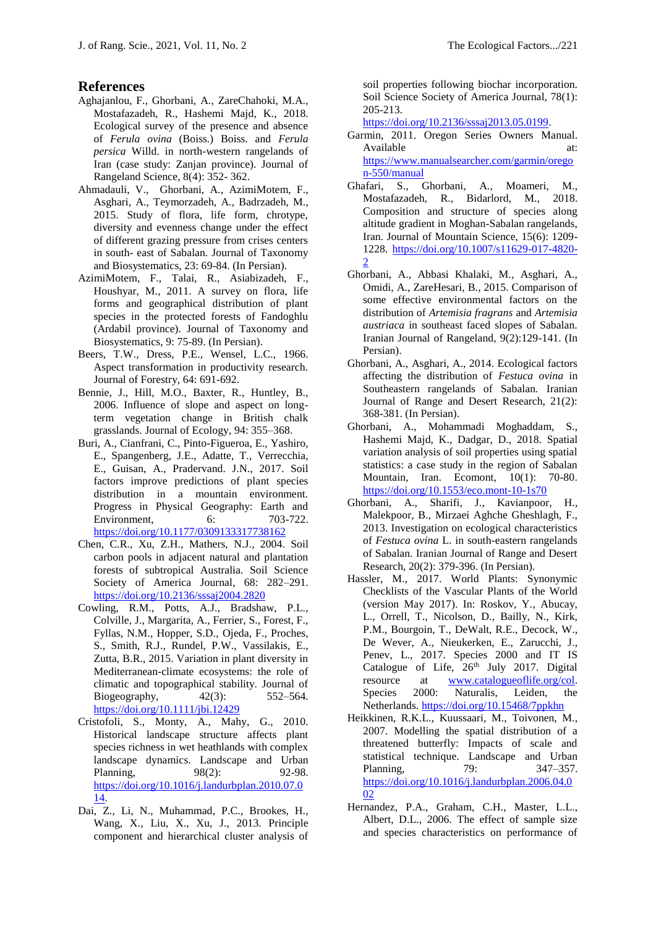#### **References**

- Aghajanlou, F., Ghorbani, A., ZareChahoki, M.A., Mostafazadeh, R., Hashemi Majd, K., 2018. Ecological survey of the presence and absence of *Ferula ovina* (Boiss.) Boiss. and *Ferula persica* Willd. in north-western rangelands of Iran (case study: Zanjan province). Journal of Rangeland Science, 8(4): 352- 362.
- Ahmadauli, V., Ghorbani, A., AzimiMotem, F., Asghari, A., Teymorzadeh, A., Badrzadeh, M., 2015. Study of flora, life form, chrotype, diversity and evenness change under the effect of different grazing pressure from crises centers in south- east of Sabalan. Journal of Taxonomy and Biosystematics, 23: 69-84. (In Persian).
- AzimiMotem, F., Talai, R., Asiabizadeh, F., Houshyar, M., 2011. A survey on flora, life forms and geographical distribution of plant species in the protected forests of Fandoghlu (Ardabil province). Journal of Taxonomy and Biosystematics, 9: 75-89. (In Persian).
- Beers, T.W., Dress, P.E., Wensel, L.C., 1966. Aspect transformation in productivity research. Journal of Forestry, 64: 691-692.
- Bennie, J., Hill, M.O., Baxter, R., Huntley, B., 2006. Influence of slope and aspect on longterm vegetation change in British chalk grasslands. Journal of Ecology, 94: 355–368.
- Buri, A., Cianfrani, C., Pinto-Figueroa, E., Yashiro, E., Spangenberg, J.E., Adatte, T., Verrecchia, E., Guisan, A., Pradervand. J.N., 2017. Soil factors improve predictions of plant species distribution in a mountain environment. Progress in Physical Geography: Earth and Environment, 6: 703-722. <https://doi.org/10.1177/0309133317738162>
- Chen, C.R., Xu, Z.H., Mathers, N.J., 2004. Soil carbon pools in adjacent natural and plantation forests of subtropical Australia. [Soil Science](https://www.researchgate.net/journal/1435-0661_Soil_Science_Society_of_America_Journal)  [Society of America Journal,](https://www.researchgate.net/journal/1435-0661_Soil_Science_Society_of_America_Journal) 68: 282–291. <https://doi.org/10.2136/sssaj2004.2820>
- Cowling, R.M., Potts, A.J., Bradshaw, P.L., Colville, J., Margarita, A., Ferrier, S., Forest, F., Fyllas, N.M., Hopper, S.D., Ojeda, F., Proches, S., Smith, R.J., Rundel, P.W., Vassilakis, E., Zutta, B.R., 2015. Variation in plant diversity in Mediterranean-climate ecosystems: the role of climatic and topographical stability. Journal of Biogeography, 42(3): 552–564. <https://doi.org/10.1111/jbi.12429>
- Cristofoli, S., Monty, A., Mahy, G., 2010. Historical landscape structure affects plant species richness in wet heathlands with complex landscape dynamics. Landscape and Urban Planning, 98(2): 92-98. [https://doi.org/10.1016/j.landurbplan.2010.07.0](https://doi.org/10.1016/j.landurbplan.2010.07.014) [14.](https://doi.org/10.1016/j.landurbplan.2010.07.014)
- Dai, Z., Li, N., Muhammad, P.C., Brookes, H., Wang, X., Liu, X., Xu, J., 2013. Principle component and hierarchical cluster analysis of

soil properties following biochar incorporation. [Soil Science Society of America Journal](Soil%20Science%20Society%20of%20America%20Journa), 78(1): 205-213.

[https://doi.org/10.2136/sssaj2013.05.0199.](https://doi.org/10.2136/sssaj2013.05.0199)

- Garmin, 2011. Oregon Series Owners Manual. Available at: at: [https://www.manualsearcher.com/garmin/orego](https://www.manualsearcher.com/garmin/oregon-550/manual) [n-550/manual](https://www.manualsearcher.com/garmin/oregon-550/manual)
- Ghafari, S., Ghorbani, A., Moameri, M., Mostafazadeh, R., Bidarlord, M., 2018. Composition and structure of species along altitude gradient in Moghan-Sabalan rangelands, Iran. Journal of Mountain Science, 15(6): 1209- 1228. [https://doi.org/10.1007/s11629-017-4820-](https://doi.org/10.1007/s11629-017-4820-2)  $\mathcal{D}$
- Ghorbani, A., Abbasi Khalaki, M., Asghari, A., Omidi, A., ZareHesari, B., 2015. Comparison of some effective environmental factors on the distribution of *Artemisia fragrans* and *Artemisia austriaca* in southeast faced slopes of Sabalan. Iranian Journal of Rangeland, 9(2):129-141. (In Persian).
- Ghorbani, A., Asghari, A., 2014. Ecological factors affecting the distribution of *Festuca ovina* in Southeastern rangelands of Sabalan*.* Iranian Journal of Range and Desert Research, 21(2): 368-381. (In Persian).
- Ghorbani, A., Mohammadi Moghaddam, S., Hashemi Majd, K., Dadgar, D., 2018. Spatial variation analysis of soil properties using spatial statistics: a case study in the region of Sabalan Mountain, Iran. Ecomont, 10(1): 70-80. <https://doi.org/10.1553/eco.mont-10-1s70>
- Ghorbani, A., Sharifi, J., Kavianpoor, H., Malekpoor, B., Mirzaei Aghche Gheshlagh, F., 2013. Investigation on ecological characteristics of *Festuca ovina* L. in south-eastern rangelands of Sabalan. Iranian Journal of Range and Desert Research, 20(2): 379-396. (In Persian).
- Hassler, M., 2017. World Plants: Synonymic Checklists of the Vascular Plants of the World (version May 2017). In: Roskov, Y., Abucay, L., Orrell, T., Nicolson, D., Bailly, N., Kirk, P.M., Bourgoin, T., DeWalt, R.E., Decock, W., De Wever, A., Nieukerken, E., Zarucchi, J., Penev, L., 2017. Species 2000 and IT IS Catalogue of Life, 26<sup>th</sup> July 2017. Digital resource at [www.catalogueoflife.org/col.](http://www.catalogueoflife.org/col) Species 2000: Naturalis, Leiden, the Netherlands.<https://doi.org/10.15468/7ppkhn>
- Heikkinen, R.K.L., Kuussaari, M., Toivonen, M., 2007. Modelling the spatial distribution of a threatened butterfly: Impacts of scale and statistical technique. Landscape and Urban Planning, 79: 347–357. [https://doi.org/10.1016/j.landurbplan.2006.04.0](https://doi.org/10.1016/j.landurbplan.2006.04.002) [02](https://doi.org/10.1016/j.landurbplan.2006.04.002)
- Hernandez, P.A., Graham, C.H., Master, L.L., Albert, D.L., 2006. The effect of sample size and species characteristics on performance of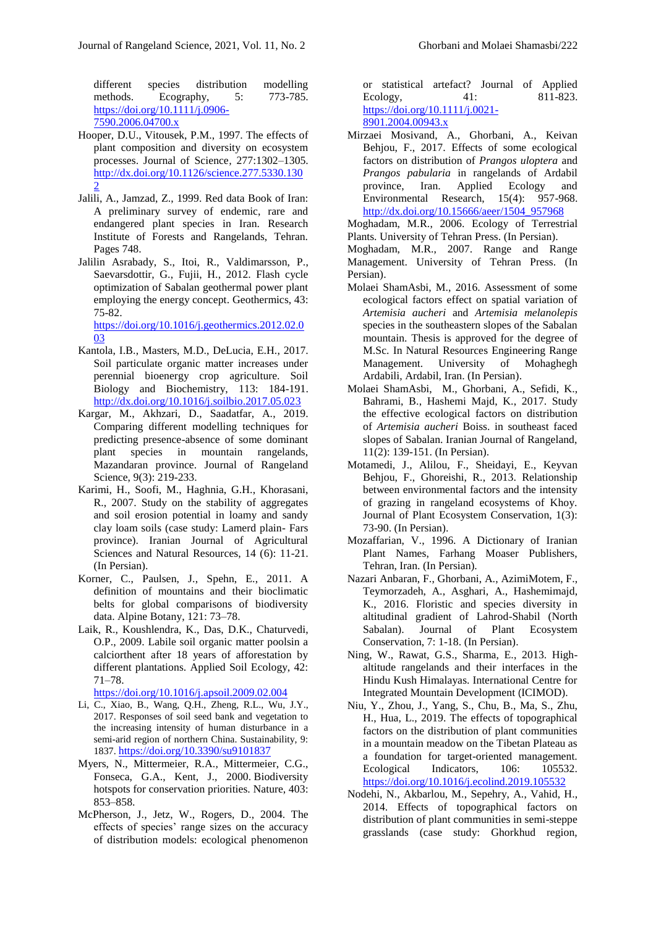different species distribution modelling methods. Ecography, 5: 773-785. [https://doi.org/10.1111/j.0906-](https://doi.org/10.1111/j.0906-7590.2006.04700.x) [7590.2006.04700.x](https://doi.org/10.1111/j.0906-7590.2006.04700.x)

- Hooper, D.U., Vitousek, P.M., 1997. The effects of plant composition and diversity on ecosystem processes. Journal of Science*,* 277:1302–1305. [http://dx.doi.org/10.1126/science.277.5330.130](http://dx.doi.org/10.1126/science.277.5330.1302) [2](http://dx.doi.org/10.1126/science.277.5330.1302)
- Jalili, A., Jamzad, Z., 1999. Red data Book of Iran: A preliminary survey of endemic, rare and endangered plant species in Iran. Research Institute of Forests and Rangelands, Tehran. Pages 748.
- Jalilin Asrabady, S., Itoi, R., Valdimarsson, P., Saevarsdottir, G., Fujii, H., 2012. Flash cycle optimization of Sabalan geothermal power plant employing the energy concept. Geothermics, 43: 75-82.

[https://doi.org/10.1016/j.geothermics.2012.02.0](https://doi.org/10.1016/j.geothermics.2012.02.003) [03](https://doi.org/10.1016/j.geothermics.2012.02.003)

- Kantola, I.B., Masters, M.D., DeLucia, E.H., 2017. Soil particulate organic matter increases under perennial bioenergy crop agriculture. Soil Biology and Biochemistry, 113: 184-191. <http://dx.doi.org/10.1016/j.soilbio.2017.05.023>
- Kargar, M., Akhzari, D., Saadatfar, A., 2019. Comparing different modelling techniques for predicting presence-absence of some dominant plant species in mountain rangelands, Mazandaran province. Journal of Rangeland Science, 9(3): 219-233.
- Karimi, H., Soofi, M., Haghnia, G.H., Khorasani, R., 2007. Study on the stability of aggregates and soil erosion potential in loamy and sandy clay loam soils (case study: Lamerd plain- Fars province). Iranian Journal of Agricultural Sciences and Natural Resources, 14 (6): 11-21. (In Persian).
- Korner, C., Paulsen, J., Spehn, E., 2011. A definition of mountains and their bioclimatic belts for global comparisons of biodiversity data. Alpine Botany, 121: 73–78.
- Laik, R., Koushlendra, K., Das, D.K., Chaturvedi, O.P., 2009. Labile soil organic matter poolsin a calciorthent after 18 years of afforestation by different plantations. Applied Soil Ecology, 42: 71–78.

<https://doi.org/10.1016/j.apsoil.2009.02.004>

- Li, C., Xiao, B., Wang, Q.H., Zheng, R.L., Wu, J.Y., 2017. Responses of soil seed bank and vegetation to the increasing intensity of human disturbance in a semi-arid region of northern China. Sustainability, 9: 1837. <https://doi.org/10.3390/su9101837>
- Myers, N., Mittermeier, R.A., Mittermeier, C.G., Fonseca, G.A., Kent, J., 2000. Biodiversity hotspots for conservation priorities. Nature, 403: 853–858.
- McPherson, J., Jetz, W., Rogers, D., 2004. The effects of species' range sizes on the accuracy of distribution models: ecological phenomenon

or statistical artefact? Journal of Applied Ecology, 41: 811-823. [https://doi.org/10.1111/j.0021-](https://doi.org/10.1111/j.0021-8901.2004.00943.x) [8901.2004.00943.x](https://doi.org/10.1111/j.0021-8901.2004.00943.x)

Mirzaei Mosivand, A., Ghorbani, A., Keivan Behjou, F., 2017. Effects of some ecological factors on distribution of *Prangos uloptera* and *Prangos pabularia* in rangelands of Ardabil province, Iran. Applied Ecology and Environmental Research, 15(4): 957-968. [http://dx.doi.org/10.15666/aeer/1504\\_957968](http://dx.doi.org/10.15666/aeer/1504_957968)

Moghadam, M.R., 2006. Ecology of Terrestrial Plants. University of Tehran Press. (In Persian).

Moghadam, M.R., 2007. Range and Range Management. University of Tehran Press. (In Persian).

- Molaei ShamAsbi, M., 2016. Assessment of some ecological factors effect on spatial variation of *Artemisia aucheri* and *Artemisia melanolepis* species in the southeastern slopes of the Sabalan mountain. Thesis is approved for the degree of M.Sc. In Natural Resources Engineering Range Management. University of Mohaghegh Ardabili, Ardabil, Iran. (In Persian).
- Molaei ShamAsbi, M., Ghorbani, A., Sefidi, K., Bahrami, B., Hashemi Majd, K., 2017. Study the effective ecological factors on distribution of *Artemisia aucheri* Boiss. in southeast faced slopes of Sabalan. Iranian Journal of Rangeland, 11(2): 139-151. (In Persian).
- Motamedi, J., Alilou, F., Sheidayi, E., Keyvan Behjou, F., Ghoreishi, R., 2013. Relationship between environmental factors and the intensity of grazing in rangeland ecosystems of Khoy. Journal of Plant Ecosystem Conservation, 1(3): 73-90. (In Persian).
- Mozaffarian, V., 1996. A Dictionary of Iranian Plant Names, Farhang Moaser Publishers, Tehran, Iran. (In Persian).
- Nazari Anbaran, F., Ghorbani, A., AzimiMotem, F., Teymorzadeh, A., Asghari, A., Hashemimajd, K., 2016. Floristic and species diversity in altitudinal gradient of Lahrod-Shabil (North Sabalan). Journal of Plant Ecosystem Conservation, 7: 1-18. (In Persian).
- Ning, W., Rawat, G.S., Sharma, E., 2013. Highaltitude rangelands and their interfaces in the Hindu Kush Himalayas. International Centre for Integrated Mountain Development (ICIMOD).
- Niu, Y., Zhou, J., Yang, S., Chu, B., Ma, S., Zhu, H., Hua, L., 2019. The effects of topographical factors on the distribution of plant communities in a mountain meadow on the Tibetan Plateau as a foundation for target-oriented management. Ecological Indicators, 106: 105532. <https://doi.org/10.1016/j.ecolind.2019.105532>
- Nodehi, N., Akbarlou, M., Sepehry, A., Vahid, H., 2014. Effects of topographical factors on distribution of plant communities in semi-steppe grasslands (case study: Ghorkhud region,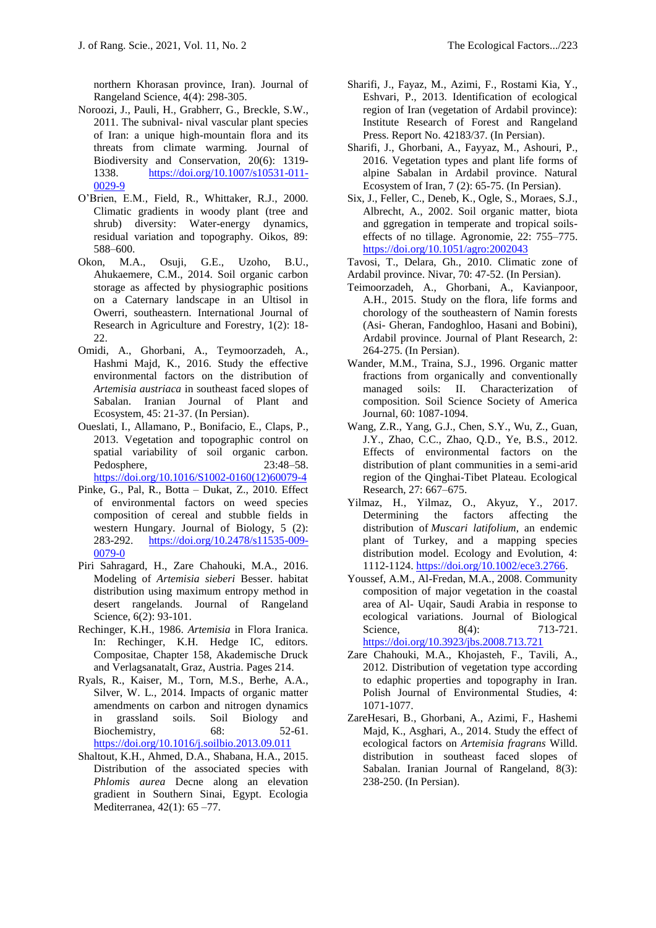northern Khorasan province, Iran). Journal of Rangeland Science, 4(4): 298-305.

- Noroozi, J., Pauli, H., Grabherr, G., Breckle, S.W., 2011. The subnival- nival vascular plant species of Iran: a unique high-mountain flora and its threats from climate warming*.* Journal of Biodiversity and Conservation*,* 20(6): 1319- 1338. [https://doi.org/10.1007/s10531-011-](https://doi.org/10.1007/s10531-011-0029-9) [0029-9](https://doi.org/10.1007/s10531-011-0029-9)
- O'Brien, E.M., Field, R., Whittaker, R.J., 2000. Climatic gradients in woody plant (tree and shrub) diversity: Water-energy dynamics, residual variation and topography. Oikos, 89: 588–600.
- Okon, M.A., Osuji, G.E., Uzoho, B.U., Ahukaemere, C.M., 2014. Soil organic carbon storage as affected by physiographic positions on a Caternary landscape in an Ultisol in Owerri, southeastern. International Journal of Research in Agriculture and Forestry, 1(2): 18- 22.
- Omidi, A., Ghorbani, A., Teymoorzadeh, A., Hashmi Majd, K., 2016. Study the effective environmental factors on the distribution of *Artemisia austriaca* in southeast faced slopes of Sabalan. Iranian Journal of Plant and Ecosystem, 45: 21-37. (In Persian).
- Oueslati, I., Allamano, P., Bonifacio, E., Claps, P., 2013. Vegetation and topographic control on spatial variability of soil organic carbon. Pedosphere, 23:48–58. [https://doi.org/10.1016/S1002-0160\(12\)60079-4](https://doi.org/10.1016/S1002-0160(12)60079-4)
- Pinke, G., Pal, R., Botta Dukat, Z., 2010. Effect of environmental factors on weed species composition of cereal and stubble fields in western Hungary. Journal of Biology, 5 (2): 283-292. [https://doi.org/10.2478/s11535-009-](https://doi.org/10.2478/s11535-009-0079-0) [0079-0](https://doi.org/10.2478/s11535-009-0079-0)
- Piri Sahragard, H., Zare Chahouki, M.A., 2016. Modeling of *Artemisia sieberi* Besser. habitat distribution using maximum entropy method in desert rangelands. Journal of Rangeland Science, 6(2): 93-101.
- Rechinger, K.H., 1986. *Artemisia* in Flora Iranica. In: Rechinger, K.H. Hedge IC, editors. Compositae, Chapter 158, Akademische Druck and Verlagsanatalt, Graz, Austria. Pages 214.
- Ryals, R., Kaiser, M., Torn, M.S., Berhe, A.A., Silver, W. L., 2014. Impacts of organic matter amendments on carbon and nitrogen dynamics in grassland soils. Soil Biology and Biochemistry, 68: 52-61. <https://doi.org/10.1016/j.soilbio.2013.09.011>
- Shaltout, K.H., Ahmed, D.A., Shabana, H.A., 2015. Distribution of the associated species with *Phlomis aurea* Decne along an elevation gradient in Southern Sinai, Egypt. Ecologia Mediterranea, 42(1): 65 –77.
- Sharifi, J., Fayaz, M., Azimi, F., Rostami Kia, Y., Eshvari, P., 2013. Identification of ecological region of Iran (vegetation of Ardabil province): Institute Research of Forest and Rangeland Press. Report No. 42183/37. (In Persian).
- Sharifi, J., Ghorbani, A., Fayyaz, M., Ashouri, P., 2016. Vegetation types and plant life forms of alpine Sabalan in Ardabil province. Natural Ecosystem of Iran, 7 (2): 65-75. (In Persian).
- Six, J., Feller, C., Deneb, K., Ogle, S., Moraes, S.J., Albrecht, A., 2002. Soil organic matter, biota and ggregation in temperate and tropical soilseffects of no tillage. Agronomie, 22: 755–775. <https://doi.org/10.1051/agro:2002043>

Tavosi, T., Delara, Gh., 2010. Climatic zone of Ardabil province. Nivar, 70: 47-52. (In Persian).

- Teimoorzadeh, A., Ghorbani, A., Kavianpoor, A.H., 2015. Study on the flora, life forms and chorology of the southeastern of Namin forests (Asi- Gheran, Fandoghloo, Hasani and Bobini), Ardabil province. Journal of Plant Research*,* 2: 264-275. (In Persian).
- Wander, M.M., Traina, S.J., 1996. Organic matter fractions from organically and conventionally managed soils: II. Characterization of composition. [Soil Science Society of America](https://experts.illinois.edu/en/publications/organic-matter-fractions-from-organically-and-conventionally-mana)  [Journal,](https://experts.illinois.edu/en/publications/organic-matter-fractions-from-organically-and-conventionally-mana) 60: 1087-1094.
- Wang, Z.R., Yang, G.J., Chen, S.Y., Wu, Z., Guan, J.Y., Zhao, C.C., Zhao, Q.D., Ye, B.S., 2012. Effects of environmental factors on the distribution of plant communities in a semi-arid region of the Qinghai-Tibet Plateau. Ecological Research, 27: 667–675.
- Yilmaz, H., Yilmaz, O., Akyuz, Y., 2017. Determining the factors affecting the distribution of *Muscari latifolium*, an endemic plant of Turkey, and a mapping species distribution model. Ecology and Evolution, 4: 1112-1124. [https://doi.org/10.1002/ece3.2766.](https://doi.org/10.1002/ece3.2766)
- Youssef, A.M., Al-Fredan, M.A., 2008. Community composition of major vegetation in the coastal area of Al- Uqair, Saudi Arabia in response to ecological variations. Journal of Biological Science, 8(4): 713-721. <https://doi.org/10.3923/jbs.2008.713.721>
- Zare Chahouki, M.A., Khojasteh, F., Tavili, A., 2012. Distribution of vegetation type according to edaphic properties and topography in Iran. Polish Journal of Environmental Studies, 4: 1071-1077.
- ZareHesari, B., Ghorbani, A., Azimi, F., Hashemi Majd, K., Asghari, A., 2014. Study the effect of ecological factors on *Artemisia fragrans* Willd. distribution in southeast faced slopes of Sabalan. Iranian Journal of Rangeland, 8(3): 238-250. (In Persian).